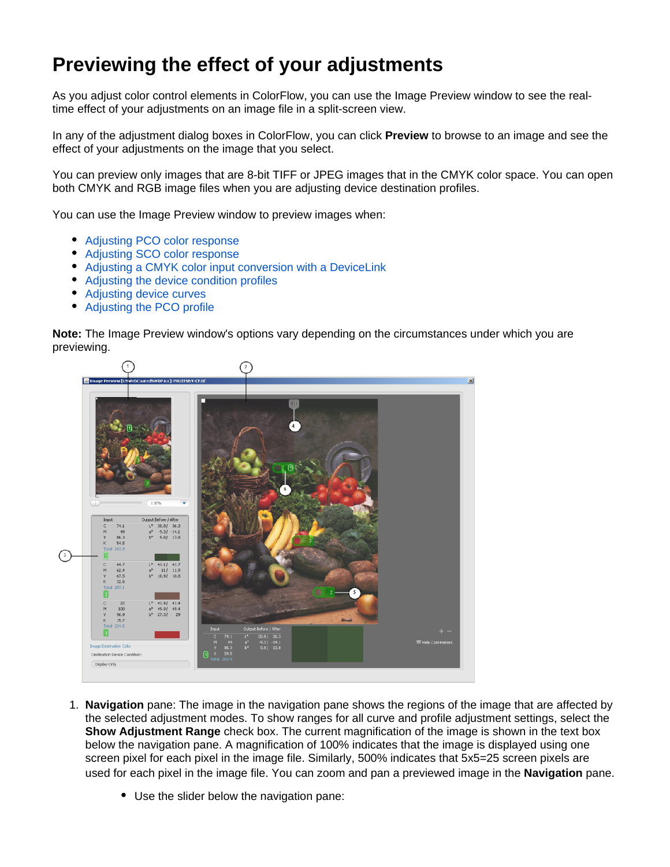## **Previewing the effect of your adjustments**

As you adjust color control elements in ColorFlow, you can use the Image Preview window to see the realtime effect of your adjustments on an image file in a split-screen view.

In any of the adjustment dialog boxes in ColorFlow, you can click **Preview** to browse to an image and see the effect of your adjustments on the image that you select.

You can preview only images that are 8-bit TIFF or JPEG images that in the CMYK color space. You can open both CMYK and RGB image files when you are adjusting device destination profiles.

You can use the Image Preview window to preview images when:

- [Adjusting PCO color response](https://workflowhelp.kodak.com/display/COLORFLOW82/Adjusting+PCO+color+response)
- [Adjusting SCO color response](https://workflowhelp.kodak.com/display/COLORFLOW82/SCO+color+response+adjustments)
- [Adjusting a CMYK color input conversion with a DeviceLink](https://workflowhelp.kodak.com/display/COLORFLOW82/Adjusting+a+color+Input+conversion)
- [Adjusting the device condition profiles](https://workflowhelp.kodak.com/display/COLORFLOW82/Adjusting+a+device+condition+profile)
- [Adjusting device curves](https://workflowhelp.kodak.com/display/COLORFLOW82/Viewing+and+adjusting+the+tonal+response+of+a+device)
- [Adjusting the PCO profile](https://workflowhelp.kodak.com/display/COLORFLOW82/Adjusting+a+PCO+profile)

**Note:** The Image Preview window's options vary depending on the circumstances under which you are previewing.



- 1. **Navigation** pane: The image in the navigation pane shows the regions of the image that are affected by the selected adjustment modes. To show ranges for all curve and profile adjustment settings, select the **Show Adjustment Range** check box. The current magnification of the image is shown in the text box below the navigation pane. A magnification of 100% indicates that the image is displayed using one screen pixel for each pixel in the image file. Similarly, 500% indicates that 5x5=25 screen pixels are used for each pixel in the image file. You can zoom and pan a previewed image in the **Navigation** pane.
	- Use the slider below the navigation pane: